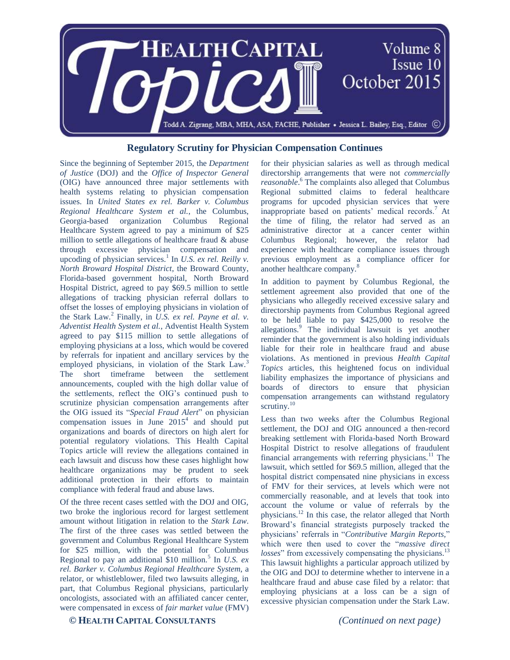

## **Regulatory Scrutiny for Physician Compensation Continues**

Since the beginning of September 2015, the *Department of Justice* (DOJ) and the *Office of Inspector General* (OIG) have announced three major settlements with health systems relating to physician compensation issues. In *United States ex rel. Barker v. Columbus Regional Healthcare System et al.*, the Columbus, Georgia-based organization Columbus Regional Healthcare System agreed to pay a minimum of \$25 million to settle allegations of healthcare fraud & abuse through excessive physician compensation and upcoding of physician services.<sup>1</sup> In *U.S. ex rel. Reilly v. North Broward Hospital District,* the Broward County, Florida-based government hospital, North Broward Hospital District, agreed to pay \$69.5 million to settle allegations of tracking physician referral dollars to offset the losses of employing physicians in violation of the Stark Law.<sup>2</sup> Finally, in *U.S. ex rel. Payne et al. v. Adventist Health System et al.*, Adventist Health System agreed to pay \$115 million to settle allegations of employing physicians at a loss, which would be covered by referrals for inpatient and ancillary services by the employed physicians, in violation of the Stark Law.<sup>3</sup> The short timeframe between the settlement announcements, coupled with the high dollar value of the settlements, reflect the OIG's continued push to scrutinize physician compensation arrangements after the OIG issued its "*Special Fraud Alert*" on physician compensation issues in June  $2015<sup>4</sup>$  and should put organizations and boards of directors on high alert for potential regulatory violations. This Health Capital Topics article will review the allegations contained in each lawsuit and discuss how these cases highlight how healthcare organizations may be prudent to seek additional protection in their efforts to maintain compliance with federal fraud and abuse laws.

Of the three recent cases settled with the DOJ and OIG, two broke the inglorious record for largest settlement amount without litigation in relation to the *Stark Law*. The first of the three cases was settled between the government and Columbus Regional Healthcare System for \$25 million, with the potential for Columbus Regional to pay an additional \$10 million.<sup>5</sup> In *U.S. ex rel. Barker v. Columbus Regional Healthcare System*, a relator, or whistleblower, filed two lawsuits alleging, in part, that Columbus Regional physicians, particularly oncologists, associated with an affiliated cancer center, were compensated in excess of *fair market value* (FMV)

for their physician salaries as well as through medical directorship arrangements that were not *commercially reasonable*. <sup>6</sup> The complaints also alleged that Columbus Regional submitted claims to federal healthcare programs for upcoded physician services that were inappropriate based on patients' medical records.<sup>7</sup> At the time of filing, the relator had served as an administrative director at a cancer center within Columbus Regional; however, the relator had experience with healthcare compliance issues through previous employment as a compliance officer for another healthcare company.<sup>8</sup>

In addition to payment by Columbus Regional, the settlement agreement also provided that one of the physicians who allegedly received excessive salary and directorship payments from Columbus Regional agreed to be held liable to pay \$425,000 to resolve the allegations.<sup>9</sup> The individual lawsuit is yet another reminder that the government is also holding individuals liable for their role in healthcare fraud and abuse violations. As mentioned in previous *Health Capital Topics* articles, this heightened focus on individual liability emphasizes the importance of physicians and boards of directors to ensure that physician compensation arrangements can withstand regulatory scrutiny.<sup>10</sup>

Less than two weeks after the Columbus Regional settlement, the DOJ and OIG announced a then-record breaking settlement with Florida-based North Broward Hospital District to resolve allegations of fraudulent financial arrangements with referring physicians.<sup>11</sup> The lawsuit, which settled for \$69.5 million, alleged that the hospital district compensated nine physicians in excess of FMV for their services, at levels which were not commercially reasonable, and at levels that took into account the volume or value of referrals by the physicians.<sup>12</sup> In this case, the relator alleged that North Broward's financial strategists purposely tracked the physicians' referrals in "*Contributive Margin Reports,*" which were then used to cover the "*massive direct losses*" from excessively compensating the physicians.<sup>13</sup> This lawsuit highlights a particular approach utilized by the OIG and DOJ to determine whether to intervene in a healthcare fraud and abuse case filed by a relator: that employing physicians at a loss can be a sign of excessive physician compensation under the Stark Law.

## **© HEALTH CAPITAL CONSULTANTS** *(Continued on next page)*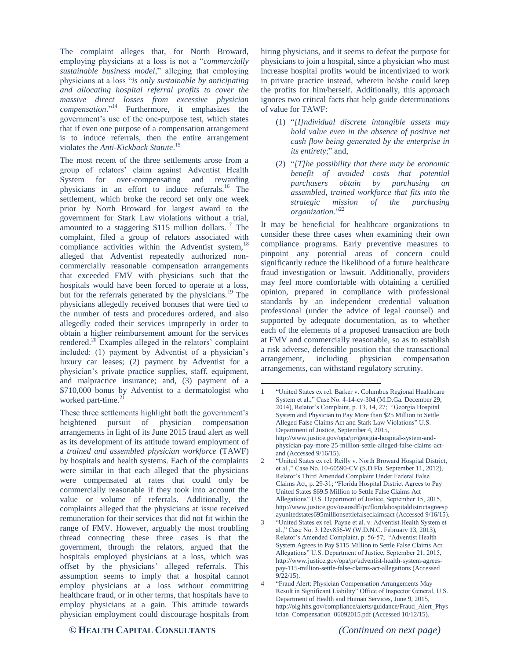The complaint alleges that, for North Broward, employing physicians at a loss is not a "*commercially sustainable business model*," alleging that employing physicians at a loss "*is only sustainable by anticipating and allocating hospital referral profits to cover the massive direct losses from excessive physician compensation*."<sup>14</sup> Furthermore, it emphasizes the government's use of the one-purpose test, which states that if even one purpose of a compensation arrangement is to induce referrals, then the entire arrangement violates the *Anti-Kickback Statute*. 15

The most recent of the three settlements arose from a group of relators' claim against Adventist Health System for over-compensating and rewarding physicians in an effort to induce referrals.<sup>16</sup> The settlement, which broke the record set only one week prior by North Broward for largest award to the government for Stark Law violations without a trial, amounted to a staggering \$115 million dollars.<sup>17</sup> The complaint, filed a group of relators associated with compliance activities within the Adventist system, $^{18}$ alleged that Adventist repeatedly authorized noncommercially reasonable compensation arrangements that exceeded FMV with physicians such that the hospitals would have been forced to operate at a loss, but for the referrals generated by the physicians.<sup>19</sup> The physicians allegedly received bonuses that were tied to the number of tests and procedures ordered, and also allegedly coded their services improperly in order to obtain a higher reimbursement amount for the services rendered.<sup>20</sup> Examples alleged in the relators' complaint included: (1) payment by Adventist of a physician's luxury car leases; (2) payment by Adventist for a physician's private practice supplies, staff, equipment, and malpractice insurance; and, (3) payment of a \$710,000 bonus by Adventist to a dermatologist who worked part-time.<sup>21</sup>

These three settlements highlight both the government's heightened pursuit of physician compensation arrangements in light of its June 2015 fraud alert as well as its development of its attitude toward employment of a *trained and assembled physician workforce* (TAWF) by hospitals and health systems. Each of the complaints were similar in that each alleged that the physicians were compensated at rates that could only be commercially reasonable if they took into account the value or volume of referrals. Additionally, the complaints alleged that the physicians at issue received remuneration for their services that did not fit within the range of FMV. However, arguably the most troubling thread connecting these three cases is that the government, through the relators, argued that the hospitals employed physicians at a loss, which was offset by the physicians' alleged referrals. This assumption seems to imply that a hospital cannot employ physicians at a loss without committing healthcare fraud, or in other terms, that hospitals have to employ physicians at a gain. This attitude towards physician employment could discourage hospitals from hiring physicians, and it seems to defeat the purpose for physicians to join a hospital, since a physician who must increase hospital profits would be incentivized to work in private practice instead, wherein he/she could keep the profits for him/herself. Additionally, this approach ignores two critical facts that help guide determinations of value for TAWF:

- (1) "*[I]ndividual discrete intangible assets may hold value even in the absence of positive net cash flow being generated by the enterprise in its entirety*;" and,
- (2) "*[T]he possibility that there may be economic benefit of avoided costs that potential purchasers obtain by purchasing an assembled, trained workforce that fits into the strategic mission of the purchasing organization*."<sup>22</sup>

It may be beneficial for healthcare organizations to consider these three cases when examining their own compliance programs. Early preventive measures to pinpoint any potential areas of concern could significantly reduce the likelihood of a future healthcare fraud investigation or lawsuit. Additionally, providers may feel more comfortable with obtaining a certified opinion, prepared in compliance with professional standards by an independent credential valuation professional (under the advice of legal counsel) and supported by adequate documentation, as to whether each of the elements of a proposed transaction are both at FMV and commercially reasonable, so as to establish a risk adverse, defensible position that the transactional arrangement, including physician compensation arrangements, can withstand regulatory scrutiny.

 $\overline{a}$ 

## **© HEALTH CAPITAL CONSULTANTS** *(Continued on next page)*

<sup>1</sup> "United States ex rel. Barker v. Columbus Regional Healthcare System et al.," Case No. 4-14-cv-304 (M.D.Ga. December 29, 2014), Relator's Complaint, p. 13, 14, 27; "Georgia Hospital System and Physician to Pay More than \$25 Million to Settle Alleged False Claims Act and Stark Law Violations" U.S. Department of Justice, September 4, 2015, http://www.justice.gov/opa/pr/georgia-hospital-system-andphysician-pay-more-25-million-settle-alleged-false-claims-actand (Accessed 9/16/15).

<sup>2</sup> "United States ex rel. Reilly v. North Broward Hospital District, et al.," Case No. 10-60590-CV (S.D.Fla. September 11, 2012), Relator's Third Amended Complaint Under Federal False Claims Act, p. 29-31; "Florida Hospital District Agrees to Pay United States \$69.5 Million to Settle False Claims Act Allegations" U.S. Department of Justice, September 15, 2015, http://www.justice.gov/usaosdfl/pr/floridahospitaldistrictagreesp ayunitedstates695millionsettlefalseclaimsact (Accessed 9/16/15).

<sup>&</sup>quot;United States ex rel. Payne et al. v. Adventist Health System et al.," Case No. 3:12cv856-W (W.D.N.C. February 13, 2013), Relator's Amended Complaint, p. 56-57; "Adventist Health System Agrees to Pay \$115 Million to Settle False Claims Act Allegations" U.S. Department of Justice, September 21, 2015, http://www.justice.gov/opa/pr/adventist-health-system-agreespay-115-million-settle-false-claims-act-allegations (Accessed  $9/22/15$ ).

<sup>4</sup> "Fraud Alert: Physician Compensation Arrangements May Result in Significant Liability" Office of Inspector General, U.S. Department of Health and Human Services, June 9, 2015, http://oig.hhs.gov/compliance/alerts/guidance/Fraud\_Alert\_Phys ician\_Compensation\_06092015.pdf (Accessed 10/12/15).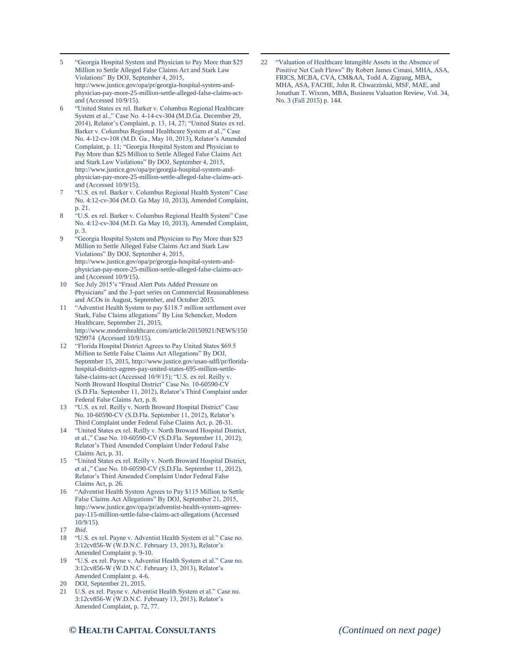- $\overline{a}$ 5 "Georgia Hospital System and Physician to Pay More than \$25 Million to Settle Alleged False Claims Act and Stark Law Violations" By DOJ, September 4, 2015, http://www.justice.gov/opa/pr/georgia-hospital-system-andphysician-pay-more-25-million-settle-alleged-false-claims-actand (Accessed 10/9/15).
- 6 "United States ex rel. Barker v. Columbus Regional Healthcare System et al.," Case No. 4-14-cv-304 (M.D.Ga. December 29, 2014), Relator's Complaint, p. 13, 14, 27; "United States ex rel. Barker v. Columbus Regional Healthcare System et al.," Case No. 4-12-cv-108 (M.D. Ga., May 10, 2013), Relator's Amended Complaint, p. 11; "Georgia Hospital System and Physician to Pay More than \$25 Million to Settle Alleged False Claims Act and Stark Law Violations" By DOJ, September 4, 2015, http://www.justice.gov/opa/pr/georgia-hospital-system-andphysician-pay-more-25-million-settle-alleged-false-claims-actand (Accessed 10/9/15).
- 7 "U.S. ex rel. Barker v. Columbus Regional Health System" Case No. 4:12-cv-304 (M.D. Ga May 10, 2013), Amended Complaint, p. 21.
- "U.S. ex rel. Barker v. Columbus Regional Health System" Case No. 4:12-cv-304 (M.D. Ga May 10, 2013), Amended Complaint, p. 3.
- 9 "Georgia Hospital System and Physician to Pay More than \$25 Million to Settle Alleged False Claims Act and Stark Law Violations" By DOJ, September 4, 2015, http://www.justice.gov/opa/pr/georgia-hospital-system-andphysician-pay-more-25-million-settle-alleged-false-claims-actand (Accessed 10/9/15).
- 10 See July 2015's "Fraud Alert Puts Added Pressure on Physicians" and the 3-part series on Commercial Reasonableness and ACOs in August, September, and October 2015.
- "Adventist Health System to pay \$118.7 million settlement over Stark, False Claims allegations" By Lisa Schencker, Modern Healthcare, September 21, 2015, http://www.modernhealthcare.com/article/20150921/NEWS/150 929974 (Accessed 10/9/15).
- 12 "Florida Hospital District Agrees to Pay United States \$69.5 Million to Settle False Claims Act Allegations" By DOJ, September 15, 2015, http://www.justice.gov/usao-sdfl/pr/floridahospital-district-agrees-pay-united-states-695-million-settlefalse-claims-act (Accessed 10/9/15); "U.S. ex rel. Reilly v. North Broward Hospital District" Case No. 10-60590-CV (S.D.Fla. September 11, 2012), Relator's Third Complaint under Federal False Claims Act, p. 8.
- 13 "U.S. ex rel. Reilly v. North Broward Hospital District" Case No. 10-60590-CV (S.D.Fla. September 11, 2012), Relator's Third Complaint under Federal False Claims Act, p. 28-31.
- 14 "United States ex rel. Reilly v. North Broward Hospital District, et al.," Case No. 10-60590-CV (S.D.Fla. September 11, 2012), Relator's Third Amended Complaint Under Federal False Claims Act, p. 31.
- 15 "United States ex rel. Reilly v. North Broward Hospital District, et al.," Case No. 10-60590-CV (S.D.Fla. September 11, 2012), Relator's Third Amended Complaint Under Federal False Claims Act, p. 26.
- 16 "Adventist Health System Agrees to Pay \$115 Million to Settle False Claims Act Allegations" By DOJ, September 21, 2015, http://www.justice.gov/opa/pr/adventist-health-system-agreespay-115-million-settle-false-claims-act-allegations (Accessed  $10/9/15$
- 17 *Ibid*.
- 18 "U.S. ex rel. Payne v. Adventist Health System et al." Case no. 3:12cv856-W (W.D.N.C. February 13, 2013), Relator's Amended Complaint p. 9-10.
- 19 "U.S. ex rel. Payne v. Adventist Health System et al." Case no. 3:12cv856-W (W.D.N.C. February 13, 2013), Relator's Amended Complaint p. 4-6.
- 20 DOJ, September 21, 2015.
- 21 U.S. ex rel. Payne v. Adventist Health System et al." Case no. 3:12cv856-W (W.D.N.C. February 13, 2013), Relator's Amended Complaint, p. 72, 77.

22 "Valuation of Healthcare Intangible Assets in the Absence of Positive Net Cash Flows" By Robert James Cimasi, MHA, ASA, FRICS, MCBA, CVA, CM&AA, Todd A. Zigrang, MBA, MHA, ASA, FACHE, John R. Chwarzinski, MSF, MAE, and Jonathan T. Wixom, MBA, Business Valuation Review, Vol. 34, No. 3 (Fall 2015) p. 144.

 $\overline{a}$